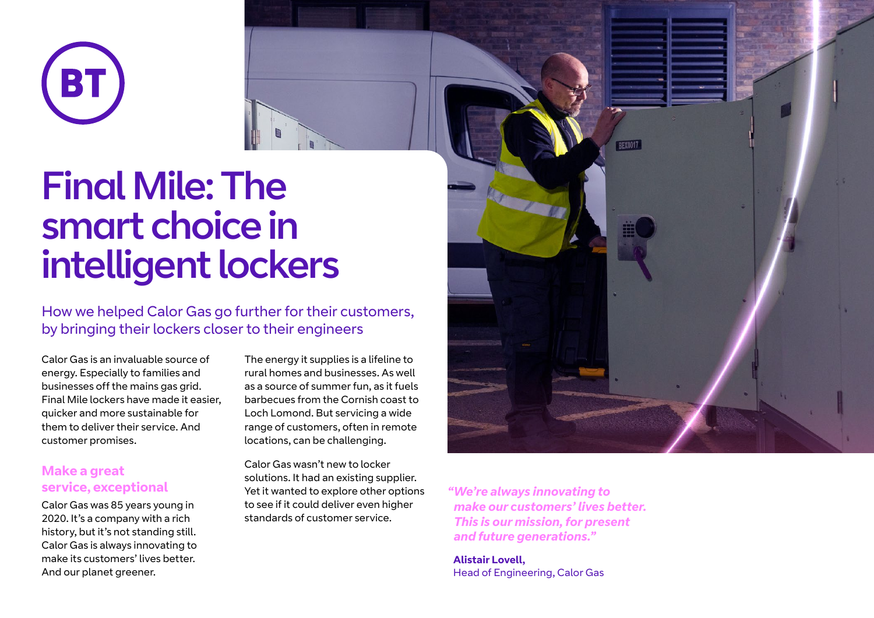

# Final Mile: The smart choice in intelligent lockers

How we helped Calor Gas go further for their customers, by bringing their lockers closer to their engineers

Calor Gas is an invaluable source of energy. Especially to families and businesses off the mains gas grid. Final Mile lockers have made it easier, quicker and more sustainable for them to deliver their service. And customer promises.

### **Make a great service, exceptional**

Calor Gas was 85 years young in 2020. It's a company with a rich history, but it's not standing still. Calor Gas is always innovating to make its customers' lives better. And our planet greener.

The energy it supplies is a lifeline to rural homes and businesses. As well as a source of summer fun, as it fuels barbecues from the Cornish coast to Loch Lomond. But servicing a wide range of customers, often in remote locations, can be challenging.

Calor Gas wasn't new to locker solutions. It had an existing supplier. Yet it wanted to explore other options to see if it could deliver even higher standards of customer service.



*"We're always innovating to make our customers' lives better. This is our mission, for present and future generations."*

**Alistair Lovell,** Head of Engineering, Calor Gas